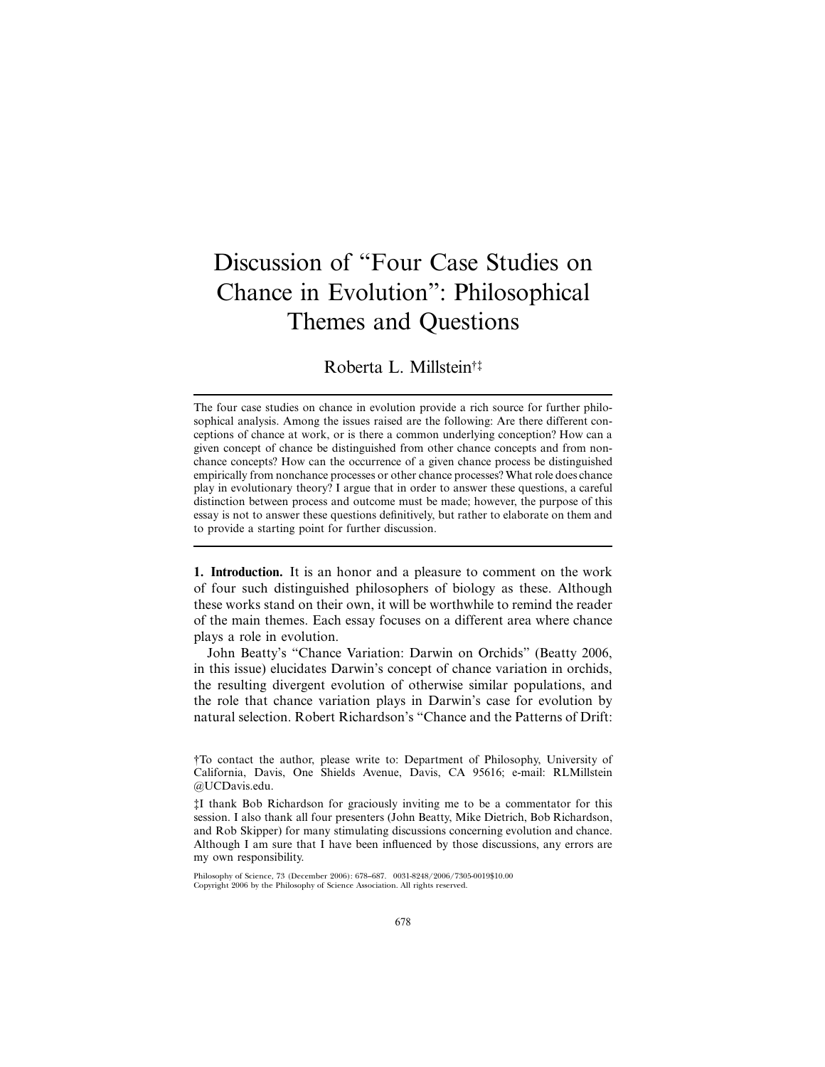# Discussion of "Four Case Studies on Chance in Evolution": Philosophical Themes and Questions

## Roberta L. Millstein†‡

The four case studies on chance in evolution provide a rich source for further philosophical analysis. Among the issues raised are the following: Are there different conceptions of chance at work, or is there a common underlying conception? How can a given concept of chance be distinguished from other chance concepts and from nonchance concepts? How can the occurrence of a given chance process be distinguished empirically from nonchance processes or other chance processes? What role does chance play in evolutionary theory? I argue that in order to answer these questions, a careful distinction between process and outcome must be made; however, the purpose of this essay is not to answer these questions definitively, but rather to elaborate on them and to provide a starting point for further discussion.

**1. Introduction.** It is an honor and a pleasure to comment on the work of four such distinguished philosophers of biology as these. Although these works stand on their own, it will be worthwhile to remind the reader of the main themes. Each essay focuses on a different area where chance plays a role in evolution.

John Beatty's "Chance Variation: Darwin on Orchids" (Beatty 2006, in this issue) elucidates Darwin's concept of chance variation in orchids, the resulting divergent evolution of otherwise similar populations, and the role that chance variation plays in Darwin's case for evolution by natural selection. Robert Richardson's "Chance and the Patterns of Drift:

Philosophy of Science, 73 (December 2006): 678–687. 0031-8248/2006/7305-0019\$10.00 Copyright 2006 by the Philosophy of Science Association. All rights reserved.

<sup>†</sup>To contact the author, please write to: Department of Philosophy, University of California, Davis, One Shields Avenue, Davis, CA 95616; e-mail: RLMillstein @UCDavis.edu.

<sup>‡</sup>I thank Bob Richardson for graciously inviting me to be a commentator for this session. I also thank all four presenters (John Beatty, Mike Dietrich, Bob Richardson, and Rob Skipper) for many stimulating discussions concerning evolution and chance. Although I am sure that I have been influenced by those discussions, any errors are my own responsibility.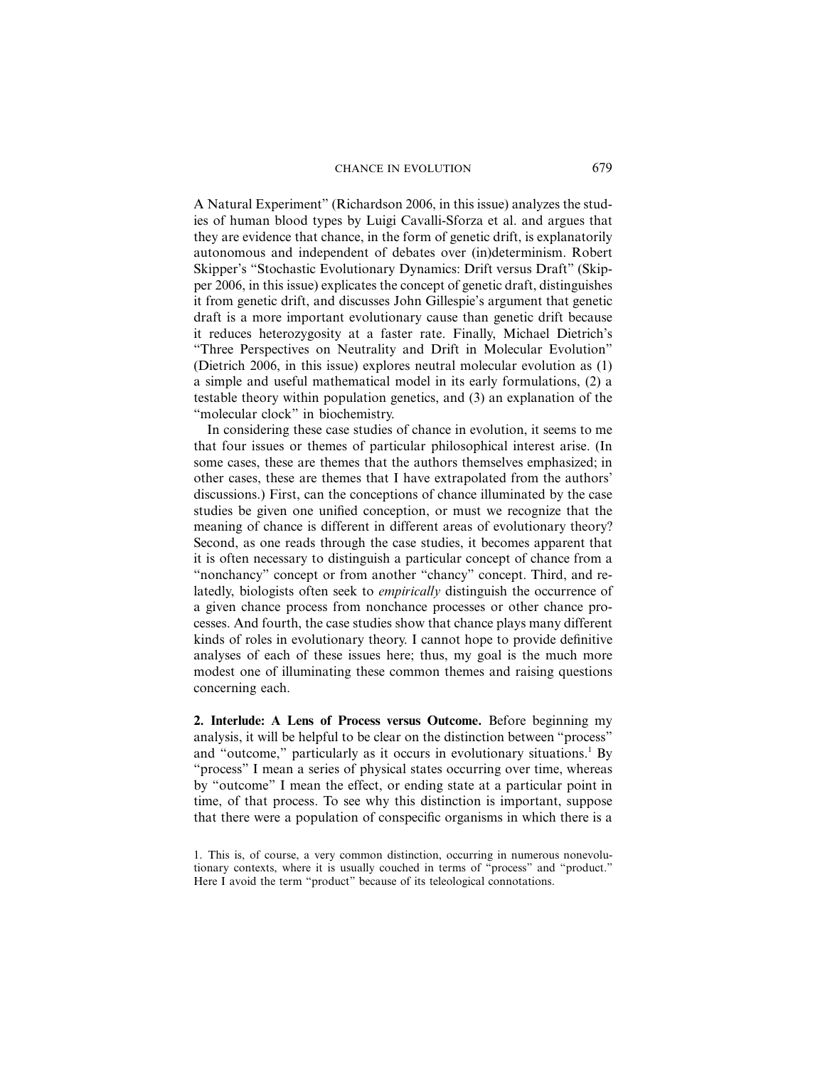#### CHANCE IN EVOLUTION 679

A Natural Experiment" (Richardson 2006, in this issue) analyzes the studies of human blood types by Luigi Cavalli-Sforza et al. and argues that they are evidence that chance, in the form of genetic drift, is explanatorily autonomous and independent of debates over (in)determinism. Robert Skipper's "Stochastic Evolutionary Dynamics: Drift versus Draft" (Skipper 2006, in this issue) explicates the concept of genetic draft, distinguishes it from genetic drift, and discusses John Gillespie's argument that genetic draft is a more important evolutionary cause than genetic drift because it reduces heterozygosity at a faster rate. Finally, Michael Dietrich's "Three Perspectives on Neutrality and Drift in Molecular Evolution" (Dietrich 2006, in this issue) explores neutral molecular evolution as (1) a simple and useful mathematical model in its early formulations, (2) a testable theory within population genetics, and (3) an explanation of the "molecular clock" in biochemistry.

In considering these case studies of chance in evolution, it seems to me that four issues or themes of particular philosophical interest arise. (In some cases, these are themes that the authors themselves emphasized; in other cases, these are themes that I have extrapolated from the authors' discussions.) First, can the conceptions of chance illuminated by the case studies be given one unified conception, or must we recognize that the meaning of chance is different in different areas of evolutionary theory? Second, as one reads through the case studies, it becomes apparent that it is often necessary to distinguish a particular concept of chance from a "nonchancy" concept or from another "chancy" concept. Third, and relatedly, biologists often seek to *empirically* distinguish the occurrence of a given chance process from nonchance processes or other chance processes. And fourth, the case studies show that chance plays many different kinds of roles in evolutionary theory. I cannot hope to provide definitive analyses of each of these issues here; thus, my goal is the much more modest one of illuminating these common themes and raising questions concerning each.

**2. Interlude: A Lens of Process versus Outcome.** Before beginning my analysis, it will be helpful to be clear on the distinction between "process" and "outcome," particularly as it occurs in evolutionary situations.<sup>1</sup> By "process" I mean a series of physical states occurring over time, whereas by "outcome" I mean the effect, or ending state at a particular point in time, of that process. To see why this distinction is important, suppose that there were a population of conspecific organisms in which there is a

<sup>1.</sup> This is, of course, a very common distinction, occurring in numerous nonevolutionary contexts, where it is usually couched in terms of "process" and "product." Here I avoid the term "product" because of its teleological connotations.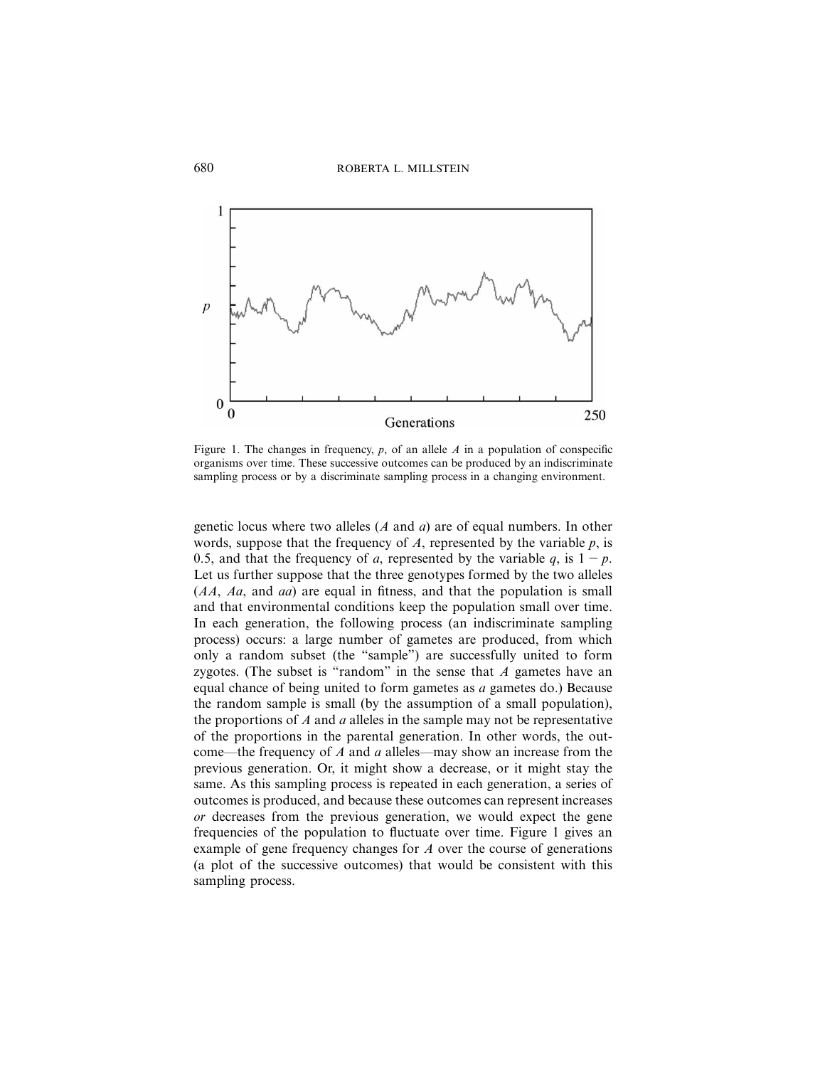

Figure 1. The changes in frequency, *p*, of an allele *A* in a population of conspecific organisms over time. These successive outcomes can be produced by an indiscriminate sampling process or by a discriminate sampling process in a changing environment.

genetic locus where two alleles (*A* and *a*) are of equal numbers. In other words, suppose that the frequency of *A*, represented by the variable *p*, is 0.5, and that the frequency of *a*, represented by the variable *q*, is  $1 - p$ . Let us further suppose that the three genotypes formed by the two alleles (*AA*, *Aa*, and *aa*) are equal in fitness, and that the population is small and that environmental conditions keep the population small over time. In each generation, the following process (an indiscriminate sampling process) occurs: a large number of gametes are produced, from which only a random subset (the "sample") are successfully united to form zygotes. (The subset is "random" in the sense that *A* gametes have an equal chance of being united to form gametes as *a* gametes do.) Because the random sample is small (by the assumption of a small population), the proportions of *A* and *a* alleles in the sample may not be representative of the proportions in the parental generation. In other words, the outcome—the frequency of *A* and *a* alleles—may show an increase from the previous generation. Or, it might show a decrease, or it might stay the same. As this sampling process is repeated in each generation, a series of outcomes is produced, and because these outcomes can represent increases *or* decreases from the previous generation, we would expect the gene frequencies of the population to fluctuate over time. Figure 1 gives an example of gene frequency changes for *A* over the course of generations (a plot of the successive outcomes) that would be consistent with this sampling process.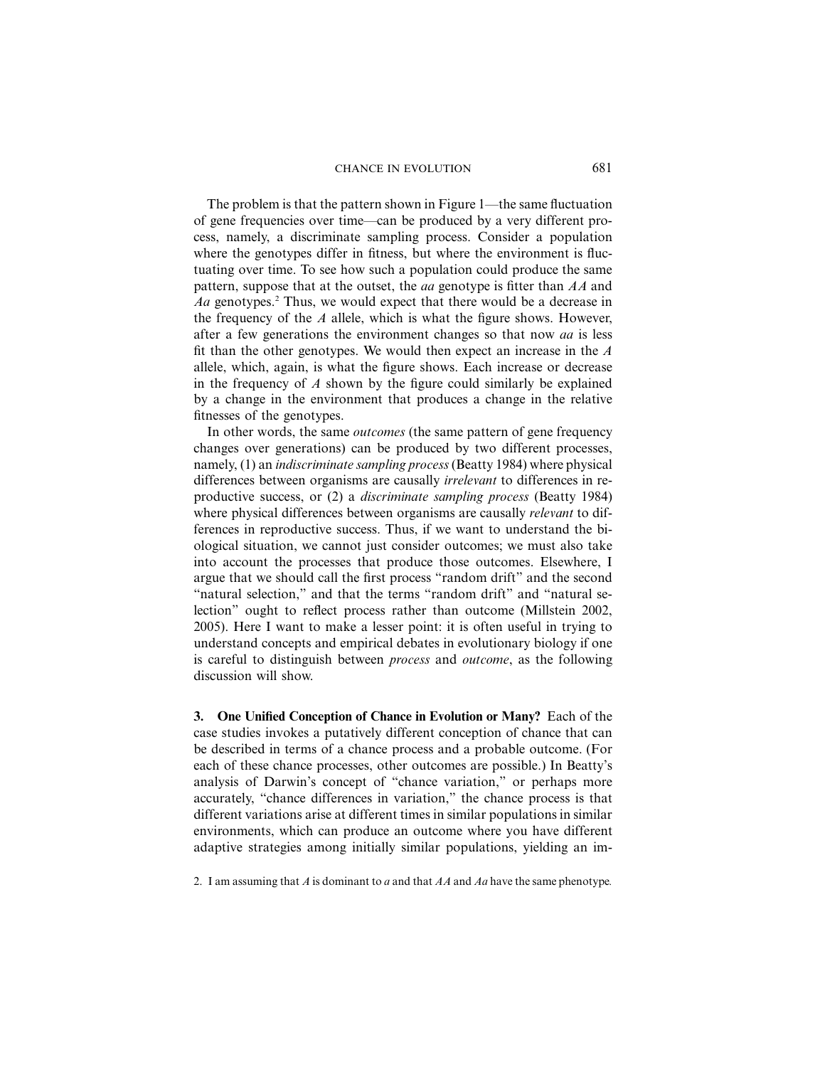#### CHANCE IN EVOLUTION 681

The problem is that the pattern shown in Figure 1—the same fluctuation of gene frequencies over time—can be produced by a very different process, namely, a discriminate sampling process. Consider a population where the genotypes differ in fitness, but where the environment is fluctuating over time. To see how such a population could produce the same pattern, suppose that at the outset, the *aa* genotype is fitter than *AA* and *Aa* genotypes.<sup>2</sup> Thus, we would expect that there would be a decrease in the frequency of the *A* allele, which is what the figure shows. However, after a few generations the environment changes so that now *aa* is less fit than the other genotypes. We would then expect an increase in the *A* allele, which, again, is what the figure shows. Each increase or decrease in the frequency of *A* shown by the figure could similarly be explained by a change in the environment that produces a change in the relative fitnesses of the genotypes.

In other words, the same *outcomes* (the same pattern of gene frequency changes over generations) can be produced by two different processes, namely, (1) an *indiscriminate sampling process* (Beatty 1984) where physical differences between organisms are causally *irrelevant* to differences in reproductive success, or (2) a *discriminate sampling process* (Beatty 1984) where physical differences between organisms are causally *relevant* to differences in reproductive success. Thus, if we want to understand the biological situation, we cannot just consider outcomes; we must also take into account the processes that produce those outcomes. Elsewhere, I argue that we should call the first process "random drift" and the second "natural selection," and that the terms "random drift" and "natural selection" ought to reflect process rather than outcome (Millstein 2002, 2005). Here I want to make a lesser point: it is often useful in trying to understand concepts and empirical debates in evolutionary biology if one is careful to distinguish between *process* and *outcome*, as the following discussion will show.

**3. One Unified Conception of Chance in Evolution or Many?** Each of the case studies invokes a putatively different conception of chance that can be described in terms of a chance process and a probable outcome. (For each of these chance processes, other outcomes are possible.) In Beatty's analysis of Darwin's concept of "chance variation," or perhaps more accurately, "chance differences in variation," the chance process is that different variations arise at different times in similar populations in similar environments, which can produce an outcome where you have different adaptive strategies among initially similar populations, yielding an im-

<sup>2.</sup> I am assuming that *A* is dominant to *a* and that *AA* and *Aa* have the same phenotype*.*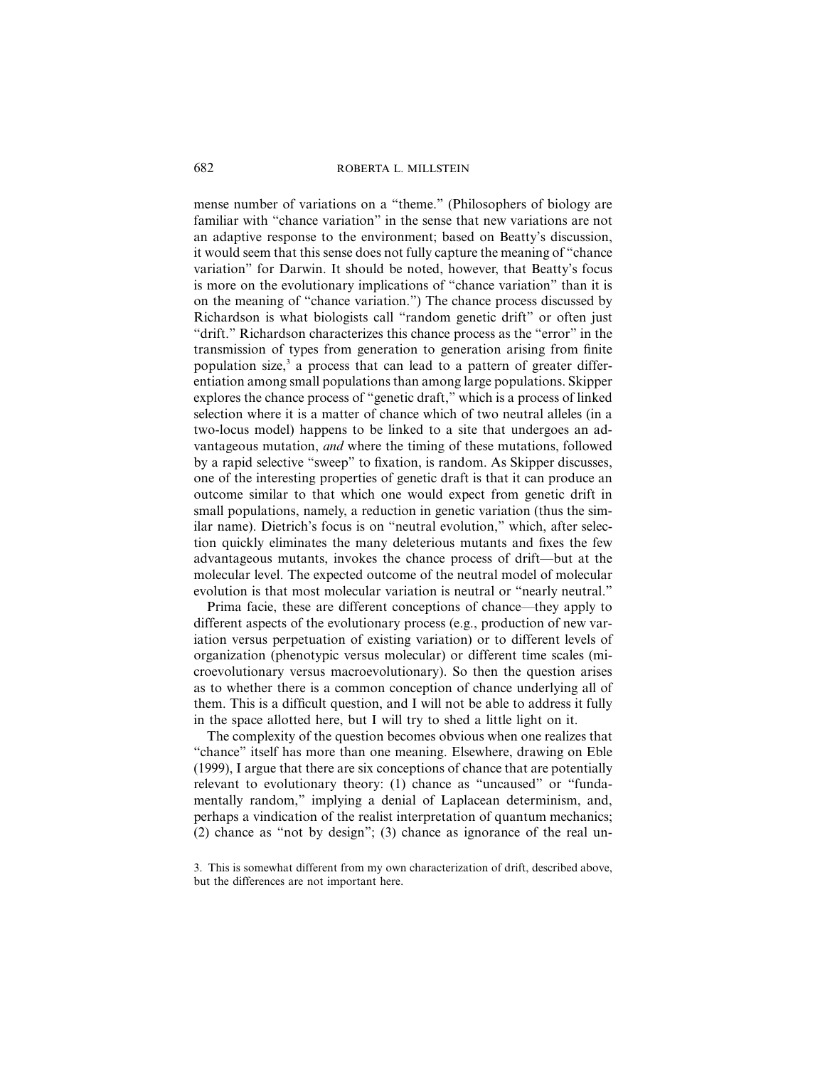mense number of variations on a "theme." (Philosophers of biology are familiar with "chance variation" in the sense that new variations are not an adaptive response to the environment; based on Beatty's discussion, it would seem that this sense does not fully capture the meaning of "chance variation" for Darwin. It should be noted, however, that Beatty's focus is more on the evolutionary implications of "chance variation" than it is on the meaning of "chance variation.") The chance process discussed by Richardson is what biologists call "random genetic drift" or often just "drift." Richardson characterizes this chance process as the "error" in the transmission of types from generation to generation arising from finite population size, $3$  a process that can lead to a pattern of greater differentiation among small populations than among large populations. Skipper explores the chance process of "genetic draft," which is a process of linked selection where it is a matter of chance which of two neutral alleles (in a two-locus model) happens to be linked to a site that undergoes an advantageous mutation, *and* where the timing of these mutations, followed by a rapid selective "sweep" to fixation, is random. As Skipper discusses, one of the interesting properties of genetic draft is that it can produce an outcome similar to that which one would expect from genetic drift in small populations, namely, a reduction in genetic variation (thus the similar name). Dietrich's focus is on "neutral evolution," which, after selection quickly eliminates the many deleterious mutants and fixes the few advantageous mutants, invokes the chance process of drift—but at the molecular level. The expected outcome of the neutral model of molecular evolution is that most molecular variation is neutral or "nearly neutral."

Prima facie, these are different conceptions of chance—they apply to different aspects of the evolutionary process (e.g., production of new variation versus perpetuation of existing variation) or to different levels of organization (phenotypic versus molecular) or different time scales (microevolutionary versus macroevolutionary). So then the question arises as to whether there is a common conception of chance underlying all of them. This is a difficult question, and I will not be able to address it fully in the space allotted here, but I will try to shed a little light on it.

The complexity of the question becomes obvious when one realizes that "chance" itself has more than one meaning. Elsewhere, drawing on Eble (1999), I argue that there are six conceptions of chance that are potentially relevant to evolutionary theory: (1) chance as "uncaused" or "fundamentally random," implying a denial of Laplacean determinism, and, perhaps a vindication of the realist interpretation of quantum mechanics; (2) chance as "not by design"; (3) chance as ignorance of the real un-

<sup>3.</sup> This is somewhat different from my own characterization of drift, described above, but the differences are not important here.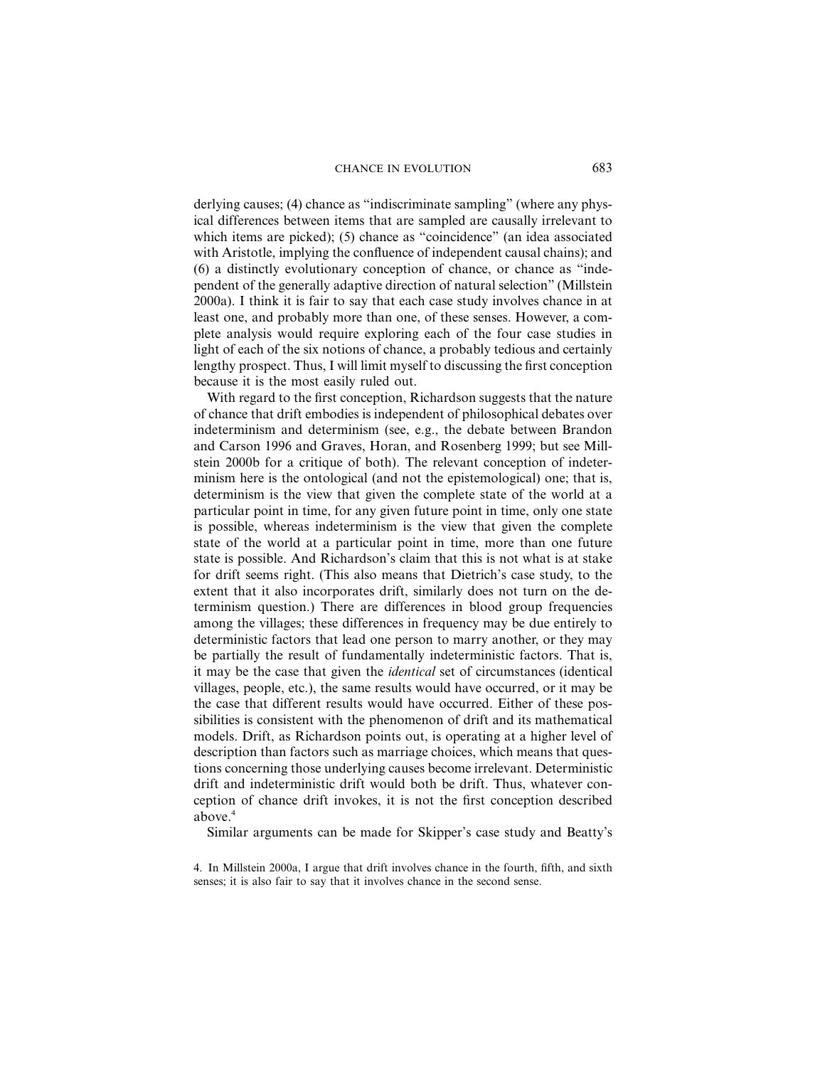derlying causes; (4) chance as "indiscriminate sampling" (where any physical differences between items that are sampled are causally irrelevant to which items are picked); (5) chance as "coincidence" (an idea associated with Aristotle, implying the confluence of independent causal chains); and (6) a distinctly evolutionary conception of chance, or chance as "independent of the generally adaptive direction of natural selection" (Millstein 2000a). I think it is fair to say that each case study involves chance in at least one, and probably more than one, of these senses. However, a complete analysis would require exploring each of the four case studies in light of each of the six notions of chance, a probably tedious and certainly lengthy prospect. Thus, I will limit myself to discussing the first conception because it is the most easily ruled out.

With regard to the first conception, Richardson suggests that the nature of chance that drift embodies is independent of philosophical debates over indeterminism and determinism (see, e.g., the debate between Brandon and Carson 1996 and Graves, Horan, and Rosenberg 1999; but see Millstein 2000b for a critique of both). The relevant conception of indeterminism here is the ontological (and not the epistemological) one; that is, determinism is the view that given the complete state of the world at a particular point in time, for any given future point in time, only one state is possible, whereas indeterminism is the view that given the complete state of the world at a particular point in time, more than one future state is possible. And Richardson's claim that this is not what is at stake for drift seems right. (This also means that Dietrich's case study, to the extent that it also incorporates drift, similarly does not turn on the determinism question.) There are differences in blood group frequencies among the villages; these differences in frequency may be due entirely to deterministic factors that lead one person to marry another, or they may be partially the result of fundamentally indeterministic factors. That is, it may be the case that given the *identical* set of circumstances (identical villages, people, etc.), the same results would have occurred, or it may be the case that different results would have occurred. Either of these possibilities is consistent with the phenomenon of drift and its mathematical models. Drift, as Richardson points out, is operating at a higher level of description than factors such as marriage choices, which means that questions concerning those underlying causes become irrelevant. Deterministic drift and indeterministic drift would both be drift. Thus, whatever conception of chance drift invokes, it is not the first conception described above.4

Similar arguments can be made for Skipper's case study and Beatty's

4. In Millstein 2000a, I argue that drift involves chance in the fourth, fifth, and sixth senses; it is also fair to say that it involves chance in the second sense.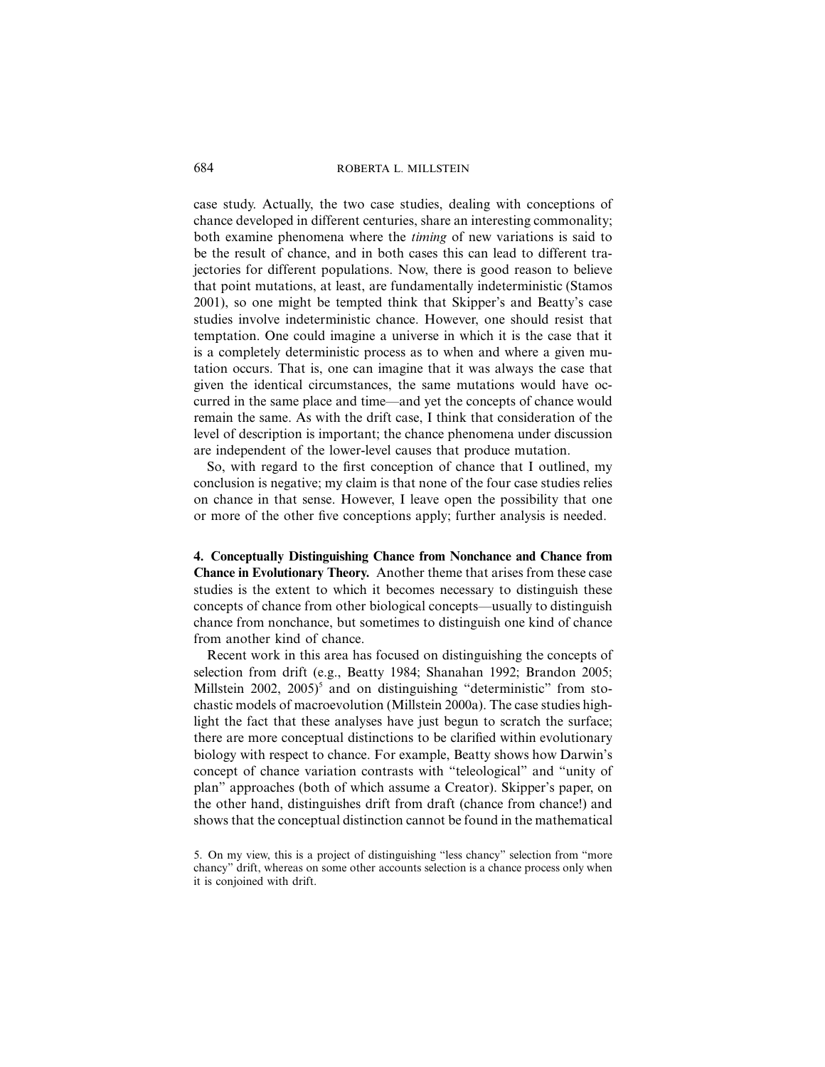### 684 ROBERTA L. MILLSTEIN

case study. Actually, the two case studies, dealing with conceptions of chance developed in different centuries, share an interesting commonality; both examine phenomena where the *timing* of new variations is said to be the result of chance, and in both cases this can lead to different trajectories for different populations. Now, there is good reason to believe that point mutations, at least, are fundamentally indeterministic (Stamos 2001), so one might be tempted think that Skipper's and Beatty's case studies involve indeterministic chance. However, one should resist that temptation. One could imagine a universe in which it is the case that it is a completely deterministic process as to when and where a given mutation occurs. That is, one can imagine that it was always the case that given the identical circumstances, the same mutations would have occurred in the same place and time—and yet the concepts of chance would remain the same. As with the drift case, I think that consideration of the level of description is important; the chance phenomena under discussion are independent of the lower-level causes that produce mutation.

So, with regard to the first conception of chance that I outlined, my conclusion is negative; my claim is that none of the four case studies relies on chance in that sense. However, I leave open the possibility that one or more of the other five conceptions apply; further analysis is needed.

**4. Conceptually Distinguishing Chance from Nonchance and Chance from Chance in Evolutionary Theory.** Another theme that arises from these case studies is the extent to which it becomes necessary to distinguish these concepts of chance from other biological concepts—usually to distinguish chance from nonchance, but sometimes to distinguish one kind of chance from another kind of chance.

Recent work in this area has focused on distinguishing the concepts of selection from drift (e.g., Beatty 1984; Shanahan 1992; Brandon 2005; Millstein 2002,  $2005$ <sup>5</sup> and on distinguishing "deterministic" from stochastic models of macroevolution (Millstein 2000a). The case studies highlight the fact that these analyses have just begun to scratch the surface; there are more conceptual distinctions to be clarified within evolutionary biology with respect to chance. For example, Beatty shows how Darwin's concept of chance variation contrasts with "teleological" and "unity of plan" approaches (both of which assume a Creator). Skipper's paper, on the other hand, distinguishes drift from draft (chance from chance!) and shows that the conceptual distinction cannot be found in the mathematical

<sup>5.</sup> On my view, this is a project of distinguishing "less chancy" selection from "more chancy" drift, whereas on some other accounts selection is a chance process only when it is conjoined with drift.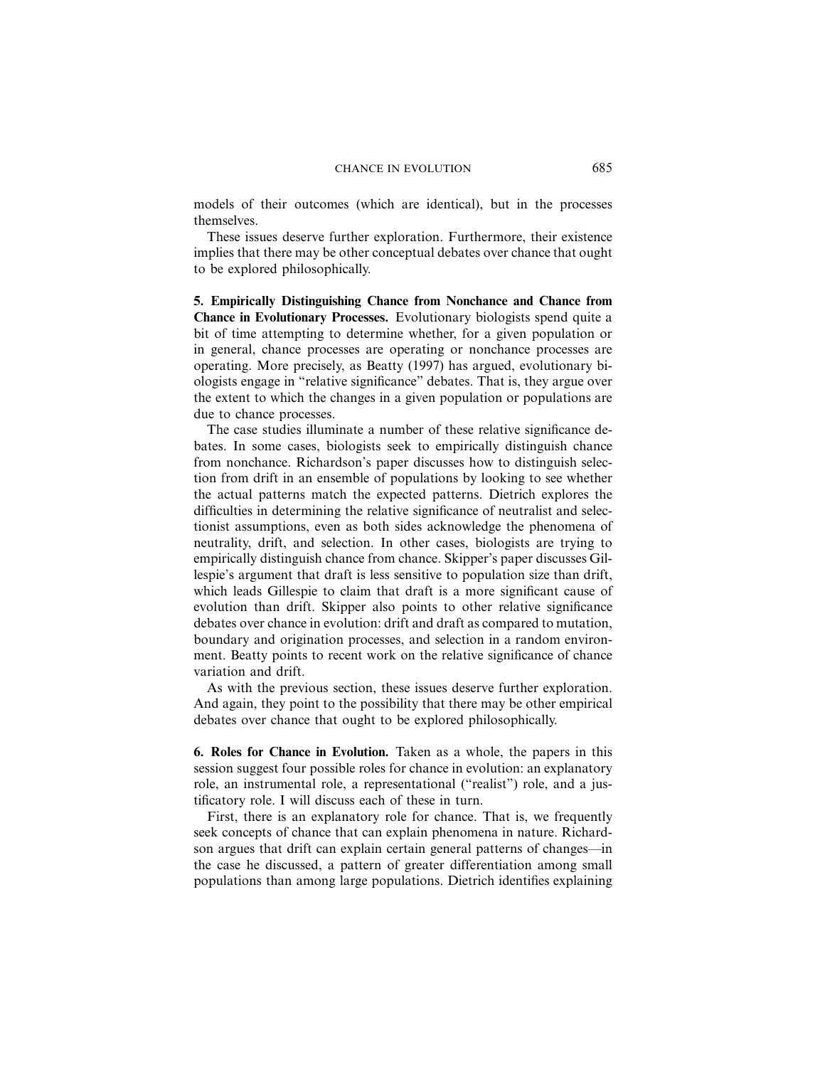models of their outcomes (which are identical), but in the processes themselves.

These issues deserve further exploration. Furthermore, their existence implies that there may be other conceptual debates over chance that ought to be explored philosophically.

**5. Empirically Distinguishing Chance from Nonchance and Chance from Chance in Evolutionary Processes.** Evolutionary biologists spend quite a bit of time attempting to determine whether, for a given population or in general, chance processes are operating or nonchance processes are operating. More precisely, as Beatty (1997) has argued, evolutionary biologists engage in "relative significance" debates. That is, they argue over the extent to which the changes in a given population or populations are due to chance processes.

The case studies illuminate a number of these relative significance debates. In some cases, biologists seek to empirically distinguish chance from nonchance. Richardson's paper discusses how to distinguish selection from drift in an ensemble of populations by looking to see whether the actual patterns match the expected patterns. Dietrich explores the difficulties in determining the relative significance of neutralist and selectionist assumptions, even as both sides acknowledge the phenomena of neutrality, drift, and selection. In other cases, biologists are trying to empirically distinguish chance from chance. Skipper's paper discusses Gillespie's argument that draft is less sensitive to population size than drift, which leads Gillespie to claim that draft is a more significant cause of evolution than drift. Skipper also points to other relative significance debates over chance in evolution: drift and draft as compared to mutation, boundary and origination processes, and selection in a random environment. Beatty points to recent work on the relative significance of chance variation and drift.

As with the previous section, these issues deserve further exploration. And again, they point to the possibility that there may be other empirical debates over chance that ought to be explored philosophically.

**6. Roles for Chance in Evolution.** Taken as a whole, the papers in this session suggest four possible roles for chance in evolution: an explanatory role, an instrumental role, a representational ("realist") role, and a justificatory role. I will discuss each of these in turn.

First, there is an explanatory role for chance. That is, we frequently seek concepts of chance that can explain phenomena in nature. Richardson argues that drift can explain certain general patterns of changes—in the case he discussed, a pattern of greater differentiation among small populations than among large populations. Dietrich identifies explaining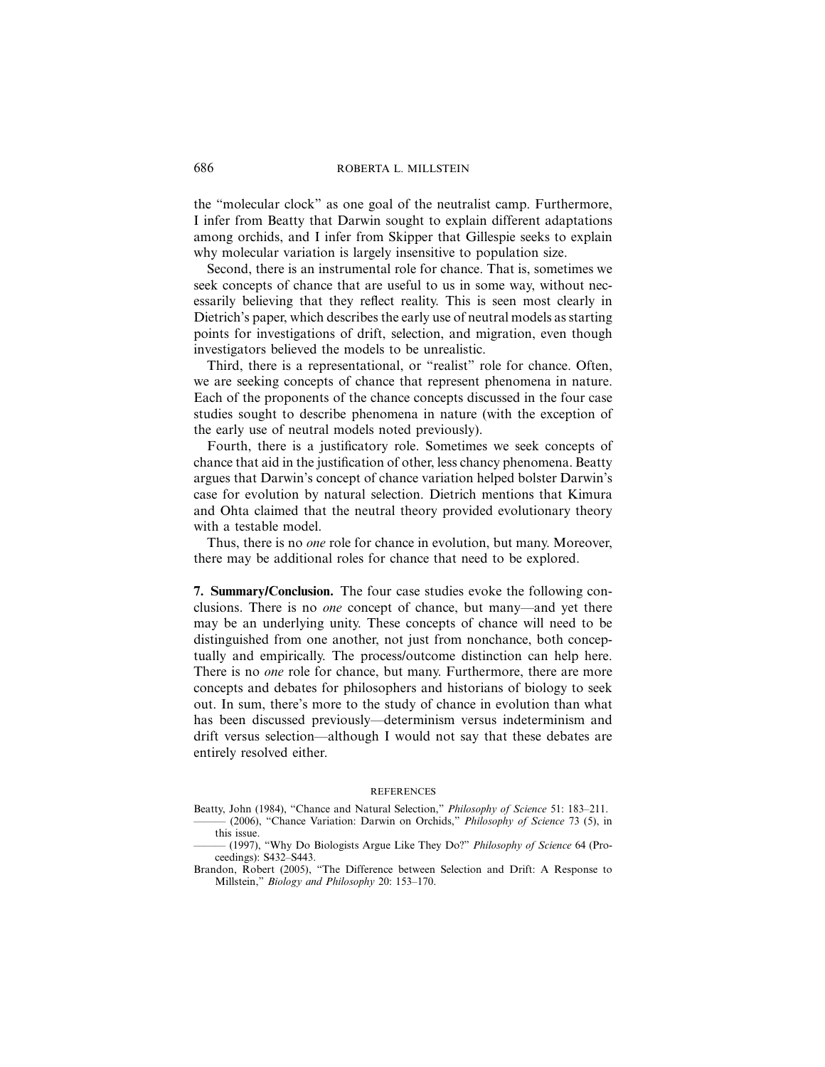### 686 ROBERTA L. MILLSTEIN

the "molecular clock" as one goal of the neutralist camp. Furthermore, I infer from Beatty that Darwin sought to explain different adaptations among orchids, and I infer from Skipper that Gillespie seeks to explain why molecular variation is largely insensitive to population size.

Second, there is an instrumental role for chance. That is, sometimes we seek concepts of chance that are useful to us in some way, without necessarily believing that they reflect reality. This is seen most clearly in Dietrich's paper, which describes the early use of neutral models as starting points for investigations of drift, selection, and migration, even though investigators believed the models to be unrealistic.

Third, there is a representational, or "realist" role for chance. Often, we are seeking concepts of chance that represent phenomena in nature. Each of the proponents of the chance concepts discussed in the four case studies sought to describe phenomena in nature (with the exception of the early use of neutral models noted previously).

Fourth, there is a justificatory role. Sometimes we seek concepts of chance that aid in the justification of other, less chancy phenomena. Beatty argues that Darwin's concept of chance variation helped bolster Darwin's case for evolution by natural selection. Dietrich mentions that Kimura and Ohta claimed that the neutral theory provided evolutionary theory with a testable model.

Thus, there is no *one* role for chance in evolution, but many. Moreover, there may be additional roles for chance that need to be explored.

**7. Summary/Conclusion.** The four case studies evoke the following conclusions. There is no *one* concept of chance, but many—and yet there may be an underlying unity. These concepts of chance will need to be distinguished from one another, not just from nonchance, both conceptually and empirically. The process/outcome distinction can help here. There is no *one* role for chance, but many. Furthermore, there are more concepts and debates for philosophers and historians of biology to seek out. In sum, there's more to the study of chance in evolution than what has been discussed previously—determinism versus indeterminism and drift versus selection—although I would not say that these debates are entirely resolved either.

#### REFERENCES

Beatty, John (1984), "Chance and Natural Selection," *Philosophy of Science* 51: 183–211. ——— (2006), "Chance Variation: Darwin on Orchids," *Philosophy of Science* 73 (5), in

this issue.

<sup>——— (1997), &</sup>quot;Why Do Biologists Argue Like They Do?" *Philosophy of Science* 64 (Proceedings): S432–S443.

Brandon, Robert (2005), "The Difference between Selection and Drift: A Response to Millstein," *Biology and Philosophy* 20: 153–170.